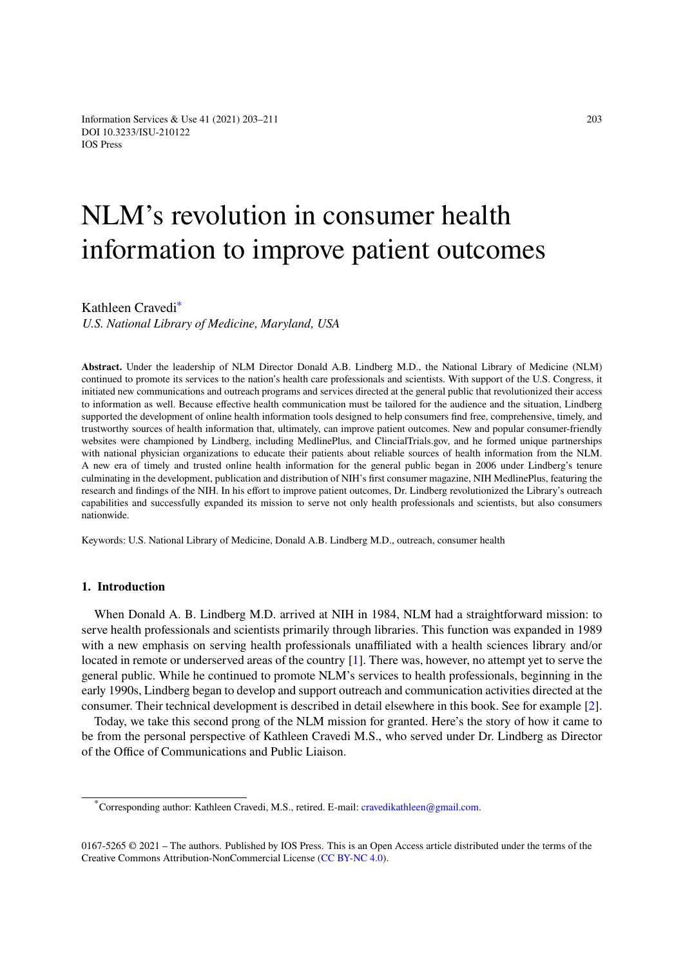# NLM's revolution in consumer health information to improve patient outcomes

## Kathleen Cravedi<sup>∗</sup>

*U.S. National Library of Medicine, Maryland, USA*

**Abstract.** Under the l[ea](#page-0-0)dership of NLM Director Donald A.B. Lindberg M.D., the National Library of Medicine (NLM) continued to promote its services to the nation's health care professionals and scientists. With support of the U.S. Congress, it initiated new communications and outreach programs and services directed at the general public that revolutionized their access to information as well. Because effective health communication must be tailored for the audience and the situation, Lindberg supported the development of online health information tools designed to help consumers find free, comprehensive, timely, and trustworthy sources of health information that, ultimately, can improve patient outcomes. New and popular consumer-friendly websites were championed by Lindberg, including MedlinePlus, and ClincialTrials.gov, and he formed unique partnerships with national physician organizations to educate their patients about reliable sources of health information from the NLM. A new era of timely and trusted online health information for the general public began in 2006 under Lindberg's tenure culminating in the development, publication and distribution of NIH's first consumer magazine, NIH MedlinePlus, featuring the research and findings of the NIH. In his effort to improve patient outcomes, Dr. Lindberg revolutionized the Library's outreach capabilities and successfully expanded its mission to serve not only health professionals and scientists, but also consumers nationwide.

Keywords: U.S. National Library of Medicine, Donald A.B. Lindberg M.D., outreach, consumer health

### **1. Introduction**

When Donald A. B. Lindberg M.D. arrived at NIH in 1984, NLM had a straightforward mission: to serve health professionals and scientists primarily through libraries. This function was expanded in 1989 with a new emphasis on serving health professionals unaffiliated with a health sciences library and/or located in remote or underserved areas of the country [1]. There was, however, no attempt yet to serve the general public. While he continued to promote NLM's services to health professionals, beginning in the early 1990s, Lindberg began to develop and support outreach and communication activities directed at the consumer. Their technical development is described in detail elsewhere in this book. See for example [2].

Today, we take this second prong of the NLM mission for granted. Here's the story of how it came to be from the personal perspective of Kathleen Cravedi M.S., who served under Dr. Lindberg as Director of the Office of Communications and Public Liaison.

<sup>\*</sup>Corresponding author: Kathleen Cravedi, M.S., retired. E-mail: cravedikathleen@gmail.com.

<span id="page-0-0"></span><sup>0167-5265 © 2021 –</sup> The authors. Published by IOS Press. This is an Open Access article distributed under the terms of the Creative Commons Attribution-NonCommercial License (CC BY-N[C 4.0\).](mailto:cravedikathleen@gmail.com)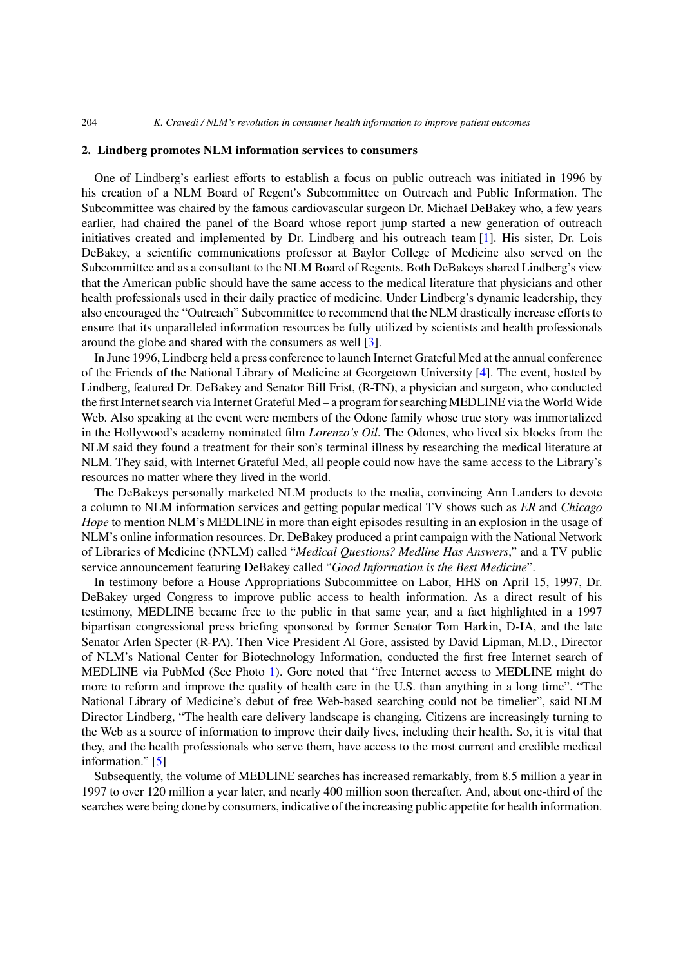### **2. Lindberg promotes NLM information services to consumers**

One of Lindberg's earliest efforts to establish a focus on public outreach was initiated in 1996 by his creation of a NLM Board of Regent's Subcommittee on Outreach and Public Information. The Subcommittee was chaired by the famous cardiovascular surgeon Dr. Michael DeBakey who, a few years earlier, had chaired the panel of the Board whose report jump started a new generation of outreach initiatives created and implemented by Dr. Lindberg and his outreach team [1]. His sister, Dr. Lois DeBakey, a scientific communications professor at Baylor College of Medicine also served on the Subcommittee and as a consultant to the NLM Board of Regents. Both DeBakeys shared Lindberg's view that the American public should have the same access to the medical literature that physicians and other health professionals used in their daily practice of medicine. Under Lindberg's dynamic leadership, they also encouraged the "Outreach" Subcommittee to recommend that the NLM drastically increase efforts to ensure that its unparalleled information resources be fully utilized by scientists and health professionals around the globe and shared with the consumers as well [3].

In June 1996, Lindberg held a press conference to launch Internet Grateful Med at the annual conference of the Friends of the National Library of Medicine at Georgetown University [4]. The event, hosted by Lindberg, featured Dr. DeBakey and Senator Bill Frist, (R-TN), a physician and surgeon, who conducted the first Internet search via Internet Grateful Med – a program for searching MEDLINE via the World Wide Web. Also speaking at the event were members of the Odone family whose true story was immortalized in the Hollywood's academy nominated film *Lorenzo's Oil*. The Odones, who lived six blocks from the NLM said they found a treatment for their son's terminal illness by researching the medical literature at NLM. They said, with Internet Grateful Med, all people could now have the same access to the Library's resources no matter where they lived in the world.

The DeBakeys personally marketed NLM products to the media, convincing Ann Landers to devote a column to NLM information services and getting popular medical TV shows such as *ER* and *Chicago Hope* to mention NLM's MEDLINE in more than eight episodes resulting in an explosion in the usage of NLM's online information resources. Dr. DeBakey produced a print campaign with the National Network of Libraries of Medicine (NNLM) called "*Medical Questions? Medline Has Answers*," and a TV public service announcement featuring DeBakey called "*Good Information is the Best Medicine*".

In testimony before a House Appropriations Subcommittee on Labor, HHS on April 15, 1997, Dr. DeBakey urged Congress to improve public access to health information. As a direct result of his testimony, MEDLINE became free to the public in that same year, and a fact highlighted in a 1997 bipartisan congressional press briefing sponsored by former Senator Tom Harkin, D-IA, and the late Senator Arlen Specter (R-PA). Then Vice President Al Gore, assisted by David Lipman, M.D., Director of NLM's National Center for Biotechnology Information, conducted the first free Internet search of MEDLINE via PubMed (See Photo 1). Gore noted that "free Internet access to MEDLINE might do more to reform and improve the quality of health care in the U.S. than anything in a long time". "The National Library of Medicine's debut of free Web-based searching could not be timelier", said NLM Director Lindberg, "The health care delivery landscape is changing. Citizens are increasingly turning to the Web as a source of information t[o i](#page-2-0)mprove their daily lives, including their health. So, it is vital that they, and the health professionals who serve them, have access to the most current and credible medical information." [5]

Subsequently, the volume of MEDLINE searches has increased remarkably, from 8.5 million a year in 1997 to over 120 million a year later, and nearly 400 million soon thereafter. And, about one-third of the searches were being done by consumers, indicative of the increasing public appetite for health information.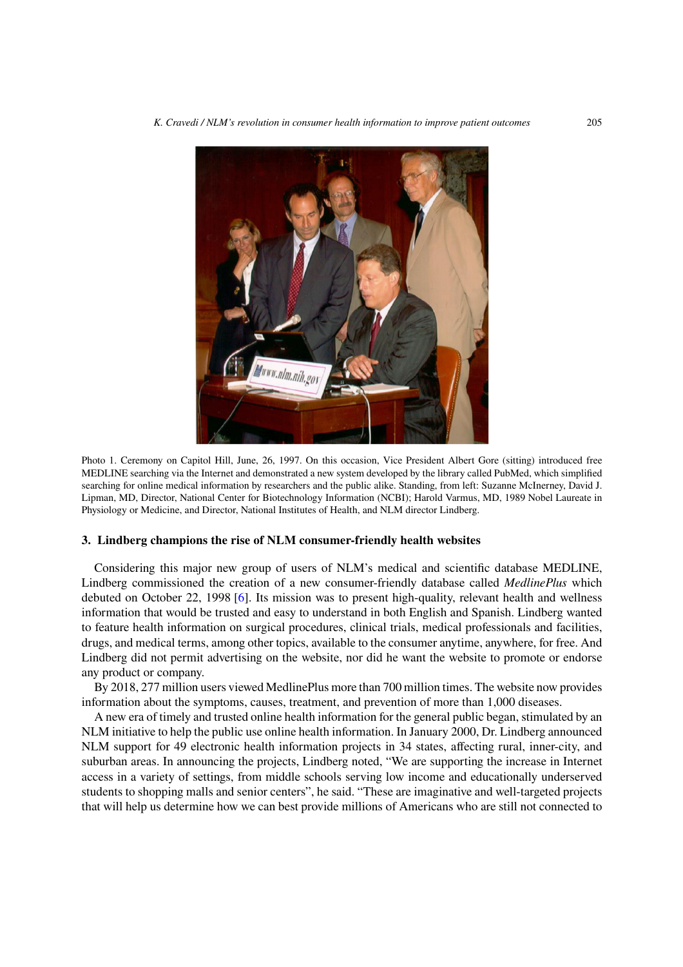<span id="page-2-0"></span>

Photo 1. Ceremony on Capitol Hill, June, 26, 1997. On this occasion, Vice President Albert Gore (sitting) introduced free MEDLINE searching via the Internet and demonstrated a new system developed by the library called PubMed, which simplified searching for online medical information by researchers and the public alike. Standing, from left: Suzanne McInerney, David J. Lipman, MD, Director, National Center for Biotechnology Information (NCBI); Harold Varmus, MD, 1989 Nobel Laureate in Physiology or Medicine, and Director, National Institutes of Health, and NLM director Lindberg.

# **3. Lindberg champions the rise of NLM consumer-friendly health websites**

Considering this major new group of users of NLM's medical and scientific database MEDLINE, Lindberg commissioned the creation of a new consumer-friendly database called *MedlinePlus* which debuted on October 22, 1998 [6]. Its mission was to present high-quality, relevant health and wellness information that would be trusted and easy to understand in both English and Spanish. Lindberg wanted to feature health information on surgical procedures, clinical trials, medical professionals and facilities, drugs, and medical terms, among other topics, available to the consumer anytime, anywhere, for free. And Lindberg did not permit advertising on the website, nor did he want the website to promote or endorse any product or company.

By 2018, 277 million users viewed MedlinePlus more than 700 million times. The website now provides information about the symptoms, causes, treatment, and prevention of more than 1,000 diseases.

A new era of timely and trusted online health information for the general public began, stimulated by an NLM initiative to help the public use online health information. In January 2000, Dr. Lindberg announced NLM support for 49 electronic health information projects in 34 states, affecting rural, inner-city, and suburban areas. In announcing the projects, Lindberg noted, "We are supporting the increase in Internet access in a variety of settings, from middle schools serving low income and educationally underserved students to shopping malls and senior centers", he said. "These are imaginative and well-targeted projects that will help us determine how we can best provide millions of Americans who are still not connected to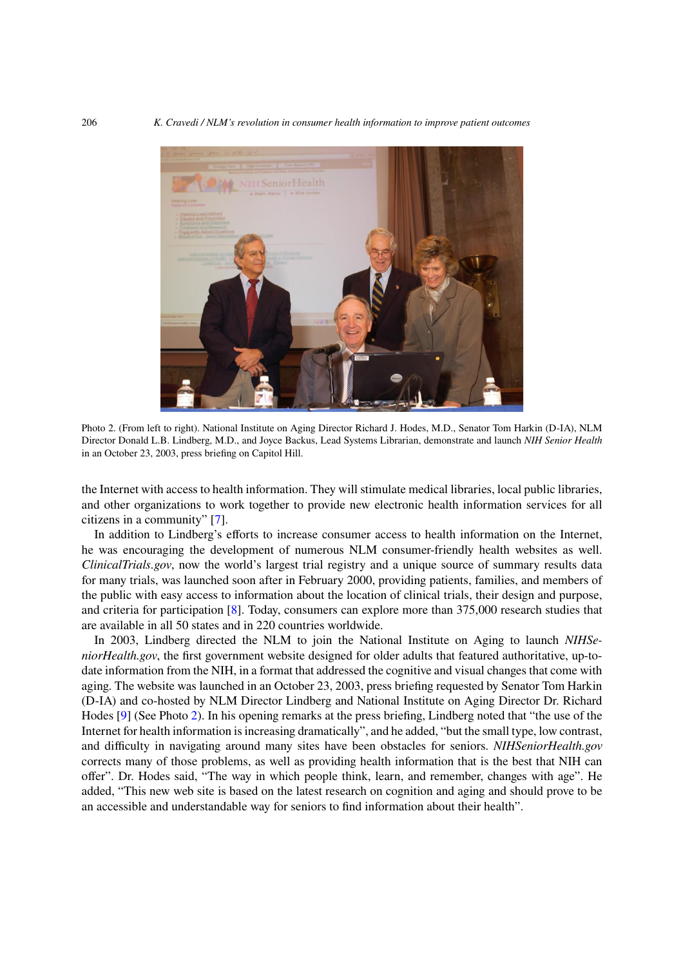<span id="page-3-0"></span>

Photo 2. (From left to right). National Institute on Aging Director Richard J. Hodes, M.D., Senator Tom Harkin (D-IA), NLM Director Donald L.B. Lindberg, M.D., and Joyce Backus, Lead Systems Librarian, demonstrate and launch *NIH Senior Health* in an October 23, 2003, press briefing on Capitol Hill.

the Internet with access to health information. They will stimulate medical libraries, local public libraries, and other organizations to work together to provide new electronic health information services for all citizens in a community" [7].

In addition to Lindberg's efforts to increase consumer access to health information on the Internet, he was encouraging the development of numerous NLM consumer-friendly health websites as well. *ClinicalTrials.gov*, now the world's largest trial registry and a unique source of summary results data for many trials, was launched soon after in February 2000, providing patients, families, and members of the public with easy access to information about the location of clinical trials, their design and purpose, and criteria for participation [8]. Today, consumers can explore more than 375,000 research studies that are available in all 50 states and in 220 countries worldwide.

In 2003, Lindberg directed the NLM to join the National Institute on Aging to launch *NIHSeniorHealth.gov*, the first government website designed for older adults that featured authoritative, up-todate information from the NIH, in a format that addressed the cognitive and visual changes that come with aging. The website was launched in an October 23, 2003, press briefing requested by Senator Tom Harkin (D-IA) and co-hosted by NLM Director Lindberg and National Institute on Aging Director Dr. Richard Hodes [9] (See Photo 2). In his opening remarks at the press briefing, Lindberg noted that "the use of the Internet for health information is increasing dramatically", and he added, "but the small type, low contrast, and difficulty in navigating around many sites have been obstacles for seniors. *NIHSeniorHealth.gov* corrects many of those problems, as well as providing health information that is the best that NIH can offer". Dr. Hodes sai[d,](#page-3-0) "The way in which people think, learn, and remember, changes with age". He added, "This new web site is based on the latest research on cognition and aging and should prove to be an accessible and understandable way for seniors to find information about their health".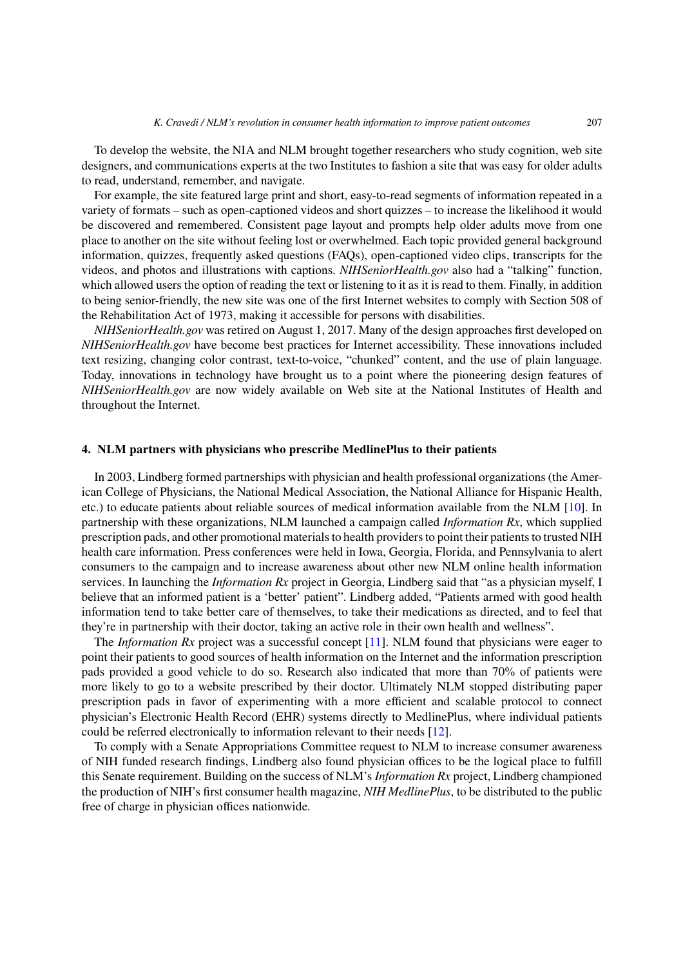To develop the website, the NIA and NLM brought together researchers who study cognition, web site designers, and communications experts at the two Institutes to fashion a site that was easy for older adults to read, understand, remember, and navigate.

For example, the site featured large print and short, easy-to-read segments of information repeated in a variety of formats – such as open-captioned videos and short quizzes – to increase the likelihood it would be discovered and remembered. Consistent page layout and prompts help older adults move from one place to another on the site without feeling lost or overwhelmed. Each topic provided general background information, quizzes, frequently asked questions (FAQs), open-captioned video clips, transcripts for the videos, and photos and illustrations with captions. *NIHSeniorHealth.gov* also had a "talking" function, which allowed users the option of reading the text or listening to it as it is read to them. Finally, in addition to being senior-friendly, the new site was one of the first Internet websites to comply with Section 508 of the Rehabilitation Act of 1973, making it accessible for persons with disabilities.

*NIHSeniorHealth.gov* was retired on August 1, 2017. Many of the design approaches first developed on *NIHSeniorHealth.gov* have become best practices for Internet accessibility. These innovations included text resizing, changing color contrast, text-to-voice, "chunked" content, and the use of plain language. Today, innovations in technology have brought us to a point where the pioneering design features of *NIHSeniorHealth.gov* are now widely available on Web site at the National Institutes of Health and throughout the Internet.

## **4. NLM partners with physicians who prescribe MedlinePlus to their patients**

In 2003, Lindberg formed partnerships with physician and health professional organizations (the American College of Physicians, the National Medical Association, the National Alliance for Hispanic Health, etc.) to educate patients about reliable sources of medical information available from the NLM [10]. In partnership with these organizations, NLM launched a campaign called *Information Rx*, which supplied prescription pads, and other promotional materials to health providers to point their patients to trusted NIH health care information. Press conferences were held in Iowa, Georgia, Florida, and Pennsylvania to alert consumers to the campaign and to increase awareness about other new NLM online health information services. In launching the *Information Rx* project in Georgia, Lindberg said that "as a physician myself, I believe that an informed patient is a 'better' patient". Lindberg added, "Patients armed with good health information tend to take better care of themselves, to take their medications as directed, and to feel that they're in partnership with their doctor, taking an active role in their own health and wellness".

The *Information Rx* project was a successful concept [11]. NLM found that physicians were eager to point their patients to good sources of health information on the Internet and the information prescription pads provided a good vehicle to do so. Research also indicated that more than 70% of patients were more likely to go to a website prescribed by their doctor. Ultimately NLM stopped distributing paper prescription pads in favor of experimenting with a more efficient and scalable protocol to connect physician's Electronic Health Record (EHR) systems directly to MedlinePlus, where individual patients could be referred electronically to information relevant to their needs [12].

To comply with a Senate Appropriations Committee request to NLM to increase consumer awareness of NIH funded research findings, Lindberg also found physician offices to be the logical place to fulfill this Senate requirement. Building on the success of NLM's *Information Rx* project, Lindberg championed the production of NIH's first consumer health magazine, *NIH MedlinePlus*, to be distributed to the public free of charge in physician offices nationwide.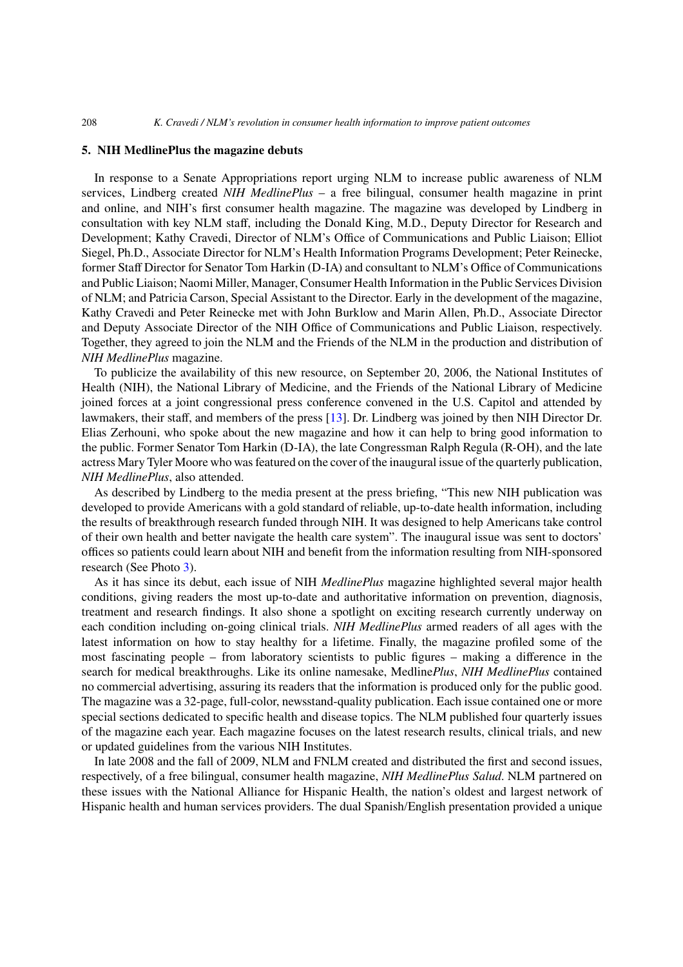## **5. NIH MedlinePlus the magazine debuts**

In response to a Senate Appropriations report urging NLM to increase public awareness of NLM services, Lindberg created *NIH MedlinePlus* – a free bilingual, consumer health magazine in print and online, and NIH's first consumer health magazine. The magazine was developed by Lindberg in consultation with key NLM staff, including the Donald King, M.D., Deputy Director for Research and Development; Kathy Cravedi, Director of NLM's Office of Communications and Public Liaison; Elliot Siegel, Ph.D., Associate Director for NLM's Health Information Programs Development; Peter Reinecke, former Staff Director for Senator Tom Harkin (D-IA) and consultant to NLM's Office of Communications and Public Liaison; Naomi Miller, Manager, Consumer Health Information in the Public Services Division of NLM; and Patricia Carson, Special Assistant to the Director. Early in the development of the magazine, Kathy Cravedi and Peter Reinecke met with John Burklow and Marin Allen, Ph.D., Associate Director and Deputy Associate Director of the NIH Office of Communications and Public Liaison, respectively. Together, they agreed to join the NLM and the Friends of the NLM in the production and distribution of *NIH MedlinePlus* magazine.

To publicize the availability of this new resource, on September 20, 2006, the National Institutes of Health (NIH), the National Library of Medicine, and the Friends of the National Library of Medicine joined forces at a joint congressional press conference convened in the U.S. Capitol and attended by lawmakers, their staff, and members of the press [13]. Dr. Lindberg was joined by then NIH Director Dr. Elias Zerhouni, who spoke about the new magazine and how it can help to bring good information to the public. Former Senator Tom Harkin (D-IA), the late Congressman Ralph Regula (R-OH), and the late actress Mary Tyler Moore who was featured on the cover of the inaugural issue of the quarterly publication, *NIH MedlinePlus*, also attended.

As described by Lindberg to the media present at the press briefing, "This new NIH publication was developed to provide Americans with a gold standard of reliable, up-to-date health information, including the results of breakthrough research funded through NIH. It was designed to help Americans take control of their own health and better navigate the health care system". The inaugural issue was sent to doctors' offices so patients could learn about NIH and benefit from the information resulting from NIH-sponsored research (See Photo 3).

As it has since its debut, each issue of NIH *MedlinePlus* magazine highlighted several major health conditions, giving readers the most up-to-date and authoritative information on prevention, diagnosis, treatment and research findings. It also shone a spotlight on exciting research currently underway on each condition incl[ud](#page-6-0)ing on-going clinical trials. *NIH MedlinePlus* armed readers of all ages with the latest information on how to stay healthy for a lifetime. Finally, the magazine profiled some of the most fascinating people – from laboratory scientists to public figures – making a difference in the search for medical breakthroughs. Like its online namesake, Medline*Plus*, *NIH MedlinePlus* contained no commercial advertising, assuring its readers that the information is produced only for the public good. The magazine was a 32-page, full-color, newsstand-quality publication. Each issue contained one or more special sections dedicated to specific health and disease topics. The NLM published four quarterly issues of the magazine each year. Each magazine focuses on the latest research results, clinical trials, and new or updated guidelines from the various NIH Institutes.

In late 2008 and the fall of 2009, NLM and FNLM created and distributed the first and second issues, respectively, of a free bilingual, consumer health magazine, *NIH MedlinePlus Salud*. NLM partnered on these issues with the National Alliance for Hispanic Health, the nation's oldest and largest network of Hispanic health and human services providers. The dual Spanish/English presentation provided a unique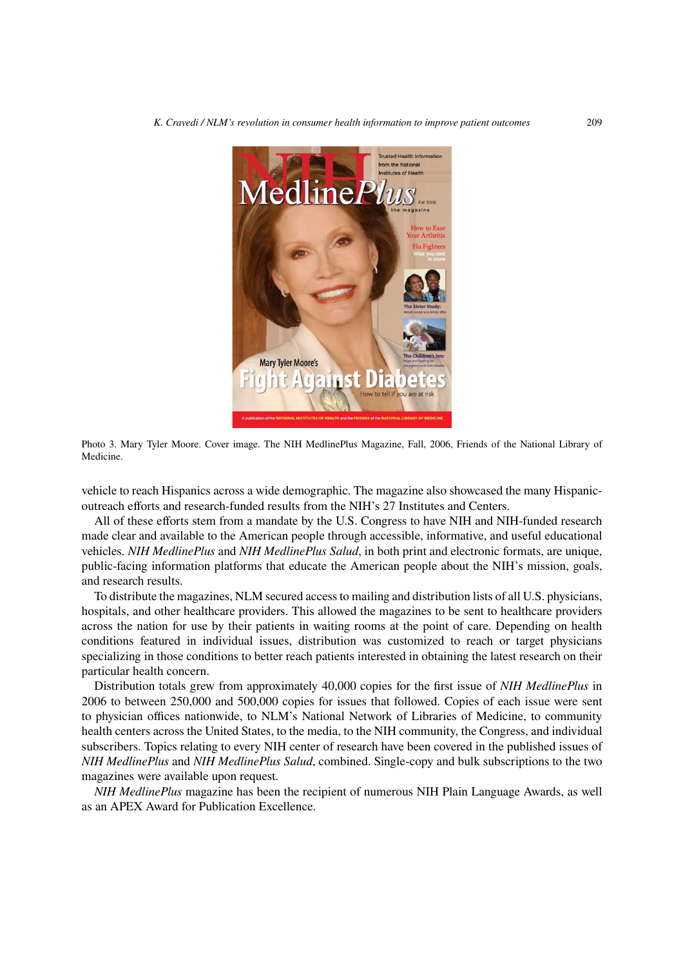<span id="page-6-0"></span>



vehicle to reach Hispanics across a wide demographic. The magazine also showcased the many Hispanicoutreach efforts and research-funded results from the NIH's 27 Institutes and Centers.

All of these efforts stem from a mandate by the U.S. Congress to have NIH and NIH-funded research made clear and available to the American people through accessible, informative, and useful educational vehicles. *NIH MedlinePlus* and *NIH MedlinePlus Salud*, in both print and electronic formats, are unique, public-facing information platforms that educate the American people about the NIH's mission, goals, and research results.

To distribute the magazines, NLM secured access to mailing and distribution lists of all U.S. physicians, hospitals, and other healthcare providers. This allowed the magazines to be sent to healthcare providers across the nation for use by their patients in waiting rooms at the point of care. Depending on health conditions featured in individual issues, distribution was customized to reach or target physicians specializing in those conditions to better reach patients interested in obtaining the latest research on their particular health concern.

Distribution totals grew from approximately 40,000 copies for the first issue of *NIH MedlinePlus* in 2006 to between 250,000 and 500,000 copies for issues that followed. Copies of each issue were sent to physician offices nationwide, to NLM's National Network of Libraries of Medicine, to community health centers across the United States, to the media, to the NIH community, the Congress, and individual subscribers. Topics relating to every NIH center of research have been covered in the published issues of *NIH MedlinePlus* and *NIH MedlinePlus Salud*, combined. Single-copy and bulk subscriptions to the two magazines were available upon request.

*NIH MedlinePlus* magazine has been the recipient of numerous NIH Plain Language Awards, as well as an APEX Award for Publication Excellence.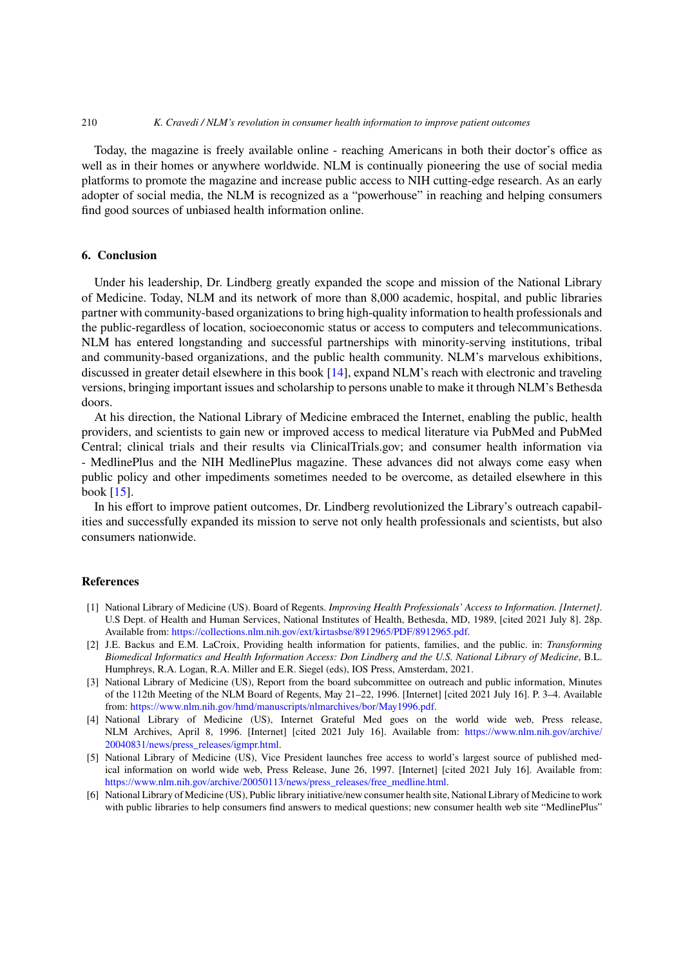Today, the magazine is freely available online - reaching Americans in both their doctor's office as well as in their homes or anywhere worldwide. NLM is continually pioneering the use of social media platforms to promote the magazine and increase public access to NIH cutting-edge research. As an early adopter of social media, the NLM is recognized as a "powerhouse" in reaching and helping consumers find good sources of unbiased health information online.

## **6. Conclusion**

Under his leadership, Dr. Lindberg greatly expanded the scope and mission of the National Library of Medicine. Today, NLM and its network of more than 8,000 academic, hospital, and public libraries partner with community-based organizations to bring high-quality information to health professionals and the public-regardless of location, socioeconomic status or access to computers and telecommunications. NLM has entered longstanding and successful partnerships with minority-serving institutions, tribal and community-based organizations, and the public health community. NLM's marvelous exhibitions, discussed in greater detail elsewhere in this book [14], expand NLM's reach with electronic and traveling versions, bringing important issues and scholarship to persons unable to make it through NLM's Bethesda doors.

At his direction, the National Library of Medicine embraced the Internet, enabling the public, health providers, and scientists to gain new or improved access to medical literature via PubMed and PubMed Central; clinical trials and their results via ClinicalTrials.gov; and consumer health information via - MedlinePlus and the NIH MedlinePlus magazine. These advances did not always come easy when public policy and other impediments sometimes needed to be overcome, as detailed elsewhere in this book [15].

In his effort to improve patient outcomes, Dr. Lindberg revolutionized the Library's outreach capabilities and successfully expanded its mission to serve not only health professionals and scientists, but also consumers nationwide.

#### **References**

- [1] National Library of Medicine (US). Board of Regents. *Improving Health Professionals' Access to Information. [Internet]*. U.S Dept. of Health and Human Services, National Institutes of Health, Bethesda, MD, 1989, [cited 2021 July 8]. 28p. Available from: https://collections.nlm.nih.gov/ext/kirtasbse/8912965/PDF/8912965.pdf.
- [2] J.E. Backus and E.M. LaCroix, Providing health information for patients, families, and the public. in: *Transforming Biomedical Informatics and Health Information Access: Don Lindberg and the U.S. National Library of Medicine*, B.L. Humphreys, R.A. Logan, R.A. Miller and E.R. Siegel (eds), IOS Press, Amsterdam, 2021.
- [3] National Library of Medicine (US), Report from the board subcommittee on outreach and public information, Minutes of the 112th Me[eting of the NLM Board of Regents, May 21–22, 1996. \[Internet\] \[cited](https://collections.nlm.nih.gov/ext/kirtasbse/8912965/PDF/8912965.pdf) 2021 July 16]. P. 3–4. Available from: https://www.nlm.nih.gov/hmd/manuscripts/nlmarchives/bor/May1996.pdf.
- [4] National Library of Medicine (US), Internet Grateful Med goes on the world wide web, Press release, NLM Archives, April 8, 1996. [Internet] [cited 2021 July 16]. Available from: https://www.nlm.nih.gov/archive/ 20040831/news/press\_releases/igmpr.html.
- [5] National Library of Medicine (US), Vice President launches free access to world's largest source of published medical i[nformation on world wide web, Press Release, June 26, 1997. \[Internet](https://www.nlm.nih.gov/hmd/manuscripts/nlmarchives/bor/May1996.pdf)] [cited 2021 July 16]. Available from: https://www.nlm.nih.gov/archive/20050113/news/press\_releases/free\_medline.html.
- [6] National Library of Medicine (US), Public library initiative/new consumer health site, Na[tional Library of Medicine to work](https://www.nlm.nih.gov/archive/20040831/news/press_releases/igmpr.html) [with public libraries to help consumers fin](https://www.nlm.nih.gov/archive/20040831/news/press_releases/igmpr.html)d answers to medical questions; new consumer health web site "MedlinePlus"